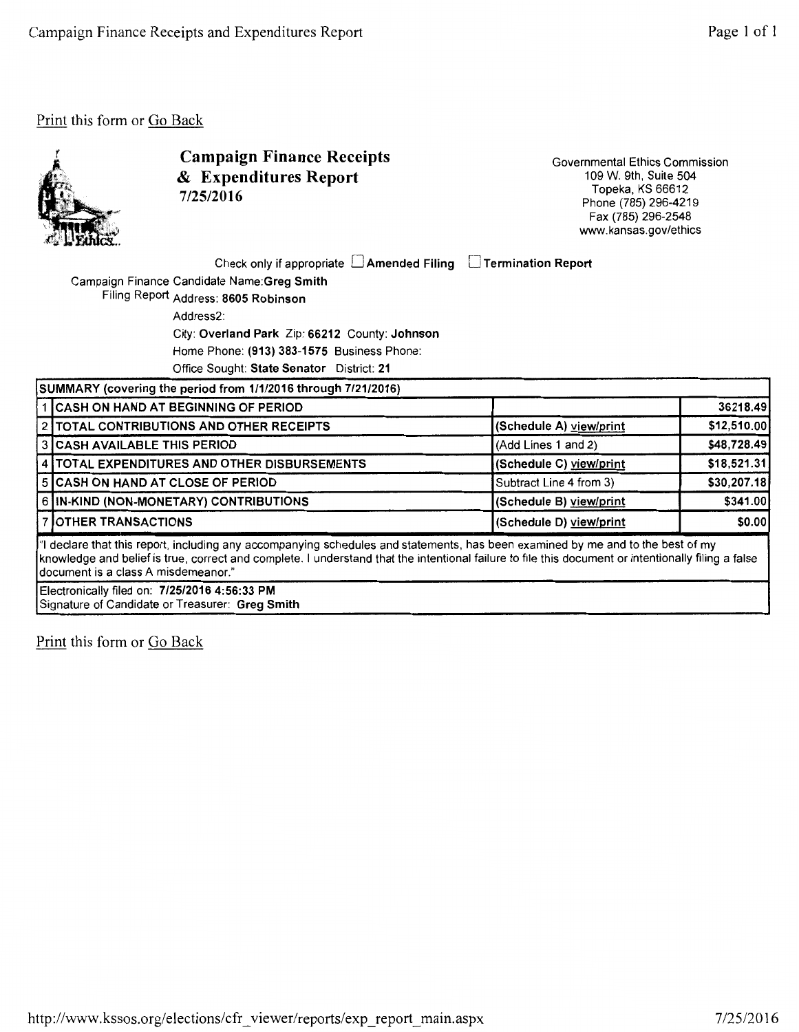

Campaign Finance Receipts & Expenditures Report 7/25/2016

Governmental Ethics Commission 109 W. 9th, Suite 504 Topeka, KS 66612 Phone (785) 296-4219 Fax (785) 296-2548 www.kansas.gov/ethics

Check only if appropriate  $\Box$  Amended Filing  $\Box$  Termination Report

Campaign Finance Candidate Name:Greg Smith

Filing Report Address: 8605 Robinson Address2: City: Overland Park Zip: 66212 County: Johnson Home Phone: (913) 383-1575 Business Phone:

Office Sought: State Senator District: 21

| SUMMARY (covering the period from 1/1/2016 through 7/21/2016)                                                                                                                                                                                                                                                                   |                                                |                         |              |  |  |
|---------------------------------------------------------------------------------------------------------------------------------------------------------------------------------------------------------------------------------------------------------------------------------------------------------------------------------|------------------------------------------------|-------------------------|--------------|--|--|
|                                                                                                                                                                                                                                                                                                                                 | 1 CASH ON HAND AT BEGINNING OF PERIOD          |                         | 36218.49     |  |  |
|                                                                                                                                                                                                                                                                                                                                 | 2 TOTAL CONTRIBUTIONS AND OTHER RECEIPTS       | (Schedule A) view/print | \$12,510.00  |  |  |
|                                                                                                                                                                                                                                                                                                                                 | 3 CASH AVAILABLE THIS PERIOD                   | (Add Lines 1 and 2)     | \$48,728.49  |  |  |
|                                                                                                                                                                                                                                                                                                                                 | 4   TOTAL EXPENDITURES AND OTHER DISBURSEMENTS | (Schedule C) view/print | \$18,521.31  |  |  |
|                                                                                                                                                                                                                                                                                                                                 | 5 CASH ON HAND AT CLOSE OF PERIOD              | Subtract Line 4 from 3) | \$30,207.18] |  |  |
|                                                                                                                                                                                                                                                                                                                                 | 6 IN-KIND (NON-MONETARY) CONTRIBUTIONS         | (Schedule B) view/print | \$341.00     |  |  |
|                                                                                                                                                                                                                                                                                                                                 | 7 OTHER TRANSACTIONS                           | (Schedule D) view/print | \$0.00       |  |  |
| I"I declare that this report, including any accompanying schedules and statements, has been examined by me and to the best of my<br>knowledge and belief is true, correct and complete. I understand that the intentional failure to file this document or intentionally filing a false<br>Idocument is a class A misdemeanor." |                                                |                         |              |  |  |
| Electronically filed on: 7/25/2016 4:56:33 PM                                                                                                                                                                                                                                                                                   |                                                |                         |              |  |  |

Signature of Candidate or Treasurer: Greg Smith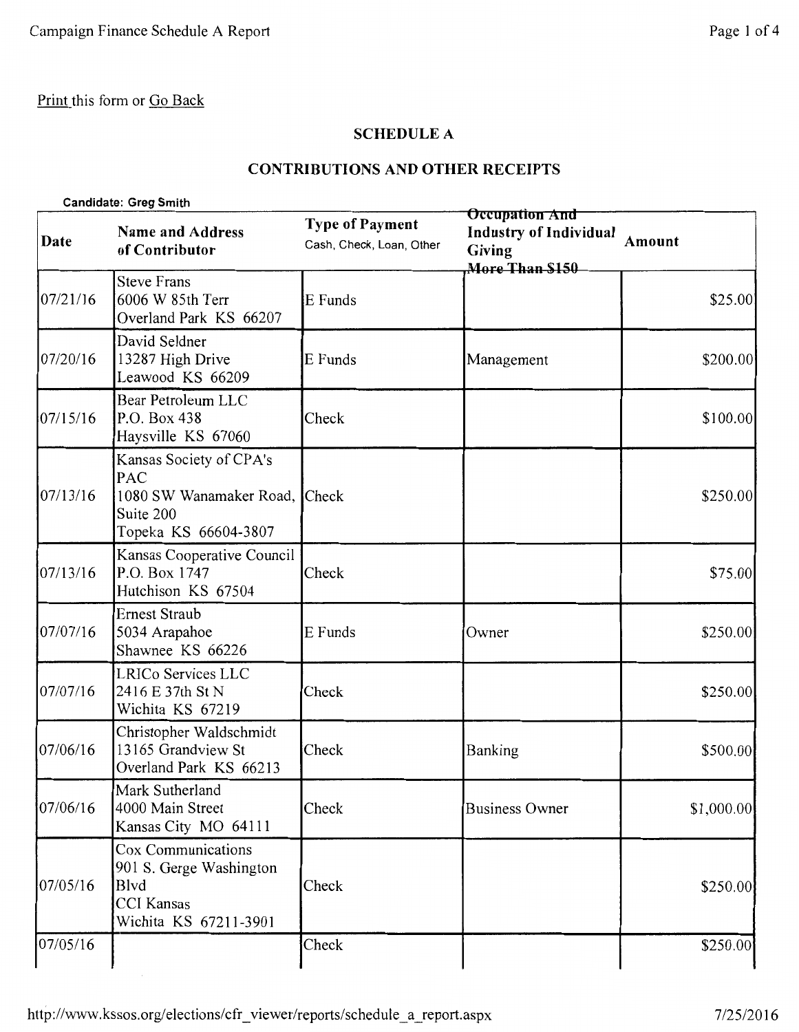## **SCHEDULE A**

# **CONTRIBUTIONS AND OTHER RECEIPTS**

| <b>Candidate: Greg Smith</b> |  |
|------------------------------|--|
|                              |  |

| Date     | <b>Name and Address</b><br>of Contributor                                                            | <b>Type of Payment</b><br>Cash, Check, Loan, Other | <b>Occupation And</b><br><b>Industry of Individual</b><br><b>Giving</b><br>More Than \$150 | Amount      |
|----------|------------------------------------------------------------------------------------------------------|----------------------------------------------------|--------------------------------------------------------------------------------------------|-------------|
| 07/21/16 | <b>Steve Frans</b><br>6006 W 85th Terr<br>Overland Park KS 66207                                     | E Funds                                            |                                                                                            | \$25.00     |
| 07/20/16 | David Seldner<br>13287 High Drive<br>Leawood KS 66209                                                | E Funds                                            | Management                                                                                 | \$200.00    |
| 07/15/16 | Bear Petroleum LLC<br>P.O. Box 438<br>Haysville KS 67060                                             | Check                                              |                                                                                            | \$100.00    |
| 07/13/16 | Kansas Society of CPA's<br>PAC<br>1080 SW Wanamaker Road, Check<br>Suite 200<br>Topeka KS 66604-3807 |                                                    |                                                                                            | \$250.00    |
| 07/13/16 | Kansas Cooperative Council<br>P.O. Box 1747<br>Hutchison KS 67504                                    | Check                                              |                                                                                            | \$75.00     |
| 07/07/16 | <b>Ernest Straub</b><br>5034 Arapahoe<br>Shawnee KS 66226                                            | E Funds                                            | Owner                                                                                      | \$250.00    |
| 07/07/16 | LRICo Services LLC<br>2416 E 37th St N<br>Wichita KS 67219                                           | Check                                              |                                                                                            | \$250.00    |
| 07/06/16 | Christopher Waldschmidt<br>13165 Grandview St<br>Overland Park KS 66213                              | Check                                              | Banking                                                                                    | \$500.00    |
| 07/06/16 | Mark Sutherland<br>4000 Main Street<br>Kansas City MO 64111                                          | Check                                              | <b>Business Owner</b>                                                                      | \$1,000.00] |
| 07/05/16 | Cox Communications<br>901 S. Gerge Washington<br>Blvd<br><b>CCI</b> Kansas<br>Wichita KS 67211-3901  | Check                                              |                                                                                            | \$250.00    |
| 07/05/16 |                                                                                                      | Check                                              |                                                                                            | \$250.00    |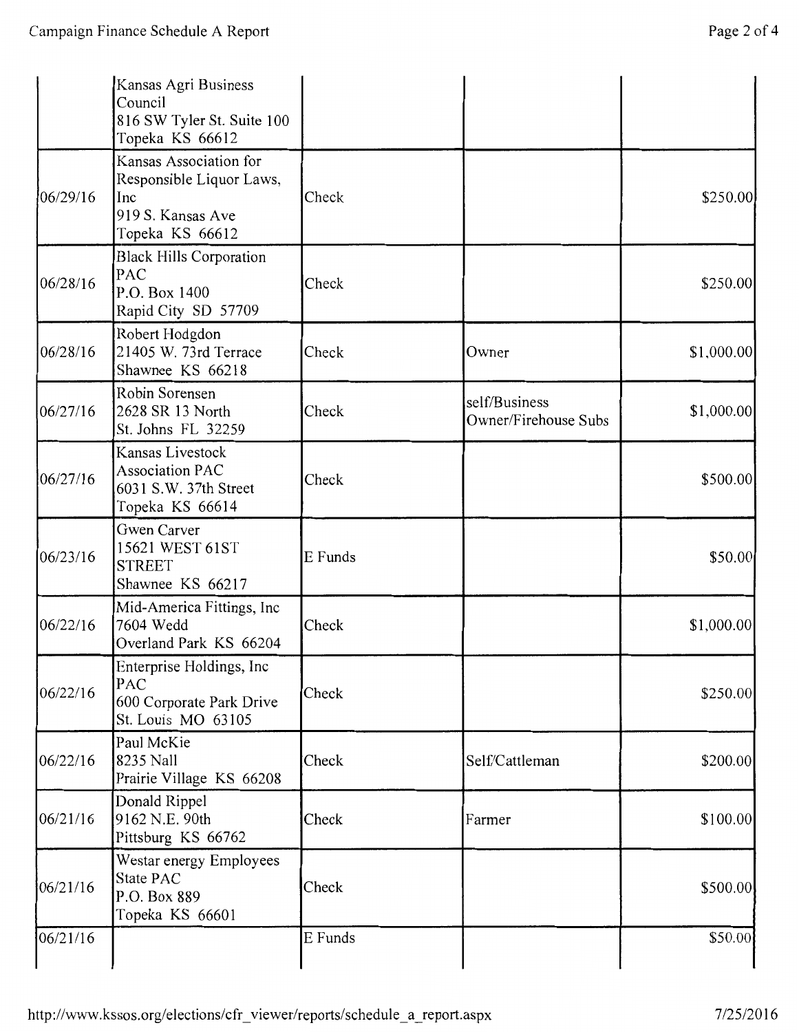|          | Kansas Agri Business<br>Council<br>816 SW Tyler St. Suite 100<br>Topeka KS 66612                  |         |                                       |            |
|----------|---------------------------------------------------------------------------------------------------|---------|---------------------------------------|------------|
| 06/29/16 | Kansas Association for<br>Responsible Liquor Laws,<br>Inc<br>919 S. Kansas Ave<br>Topeka KS 66612 | Check   |                                       | \$250.00   |
| 06/28/16 | <b>Black Hills Corporation</b><br>PAC<br>P.O. Box 1400<br>Rapid City SD 57709                     | Check   |                                       | \$250.00   |
| 06/28/16 | Robert Hodgdon<br>21405 W. 73rd Terrace<br>Shawnee KS 66218                                       | Check   | Owner                                 | \$1,000.00 |
| 06/27/16 | Robin Sorensen<br>2628 SR 13 North<br>St. Johns FL 32259                                          | Check   | self/Business<br>Owner/Firehouse Subs | \$1,000.00 |
| 06/27/16 | Kansas Livestock<br><b>Association PAC</b><br>6031 S.W. 37th Street<br>Topeka KS 66614            | Check   |                                       | \$500.00   |
| 06/23/16 | Gwen Carver<br>15621 WEST 61ST<br><b>STREET</b><br>Shawnee KS 66217                               | E Funds |                                       | \$50.00    |
| 06/22/16 | Mid-America Fittings, Inc<br>7604 Wedd<br>Overland Park KS 66204                                  | Check   |                                       | \$1,000.00 |
| 06/22/16 | Enterprise Holdings, Inc<br>PAC<br>600 Corporate Park Drive<br>St. Louis MO 63105                 | Check   |                                       | \$250.00   |
| 06/22/16 | Paul McKie<br>8235 Nall<br>Prairie Village KS 66208                                               | Check   | Self/Cattleman                        | \$200.00   |
| 06/21/16 | Donald Rippel<br>9162 N.E. 90th<br>Pittsburg KS 66762                                             | Check   | Farmer                                | \$100.00   |
| 06/21/16 | Westar energy Employees<br>State PAC<br>P.O. Box 889<br>Topeka KS 66601                           | Check   |                                       | \$500.00   |
| 06/21/16 |                                                                                                   | E Funds |                                       | \$50.00    |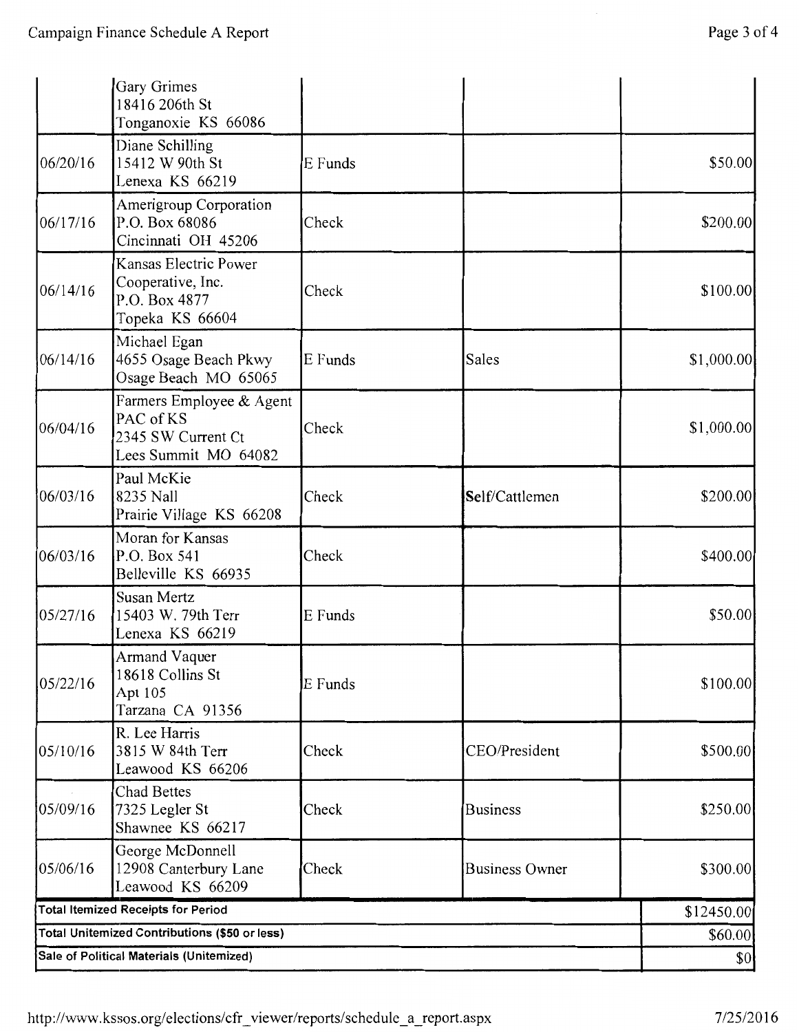|                                          | Gary Grimes<br>18416 206th St<br>Tonganoxie KS 66086                                |         |                       |            |
|------------------------------------------|-------------------------------------------------------------------------------------|---------|-----------------------|------------|
| 06/20/16                                 | Diane Schilling<br>15412 W 90th St<br>Lenexa KS 66219                               | E Funds |                       | \$50.00    |
| 06/17/16                                 | <b>Amerigroup Corporation</b><br>P.O. Box 68086<br>Cincinnati OH 45206              | Check   |                       | \$200.00   |
| 06/14/16                                 | Kansas Electric Power<br>Cooperative, Inc.<br>P.O. Box 4877<br>Topeka KS 66604      | Check   |                       | \$100.00   |
| 06/14/16                                 | Michael Egan<br>4655 Osage Beach Pkwy<br>Osage Beach MO 65065                       | E Funds | Sales                 | \$1,000.00 |
| 06/04/16                                 | Farmers Employee & Agent<br>PAC of KS<br>2345 SW Current Ct<br>Lees Summit MO 64082 | Check   |                       | \$1,000.00 |
| 06/03/16                                 | Paul McKie<br>8235 Nall<br>Prairie Village KS 66208                                 | Check   | Self/Cattlemen        | \$200.00   |
| 06/03/16                                 | Moran for Kansas<br>P.O. Box 541<br>Belleville KS 66935                             | Check   |                       | \$400.00   |
| 05/27/16                                 | Susan Mertz<br>15403 W. 79th Terr<br>Lenexa KS 66219                                | E Funds |                       | \$50.00    |
| 05/22/16                                 | Armand Vaquer<br>18618 Collins St<br>Apt 105<br>Tarzana CA 91356                    | E Funds |                       | \$100.00   |
| 05/10/16                                 | R. Lee Harris<br>3815 W 84th Terr<br>Leawood KS 66206                               | Check   | CEO/President         | \$500.00   |
| 05/09/16                                 | Chad Bettes<br>7325 Legler St<br>Shawnee KS 66217                                   | Check   | <b>Business</b>       | \$250.00   |
| 05/06/16                                 | George McDonnell<br>12908 Canterbury Lane<br>Leawood KS 66209                       | Check   | <b>Business Owner</b> | \$300.00   |
|                                          | <b>Total Itemized Receipts for Period</b>                                           |         |                       | \$12450.00 |
|                                          | Total Unitemized Contributions (\$50 or less)                                       |         |                       | \$60.00    |
| Sale of Political Materials (Unitemized) |                                                                                     |         |                       | 80         |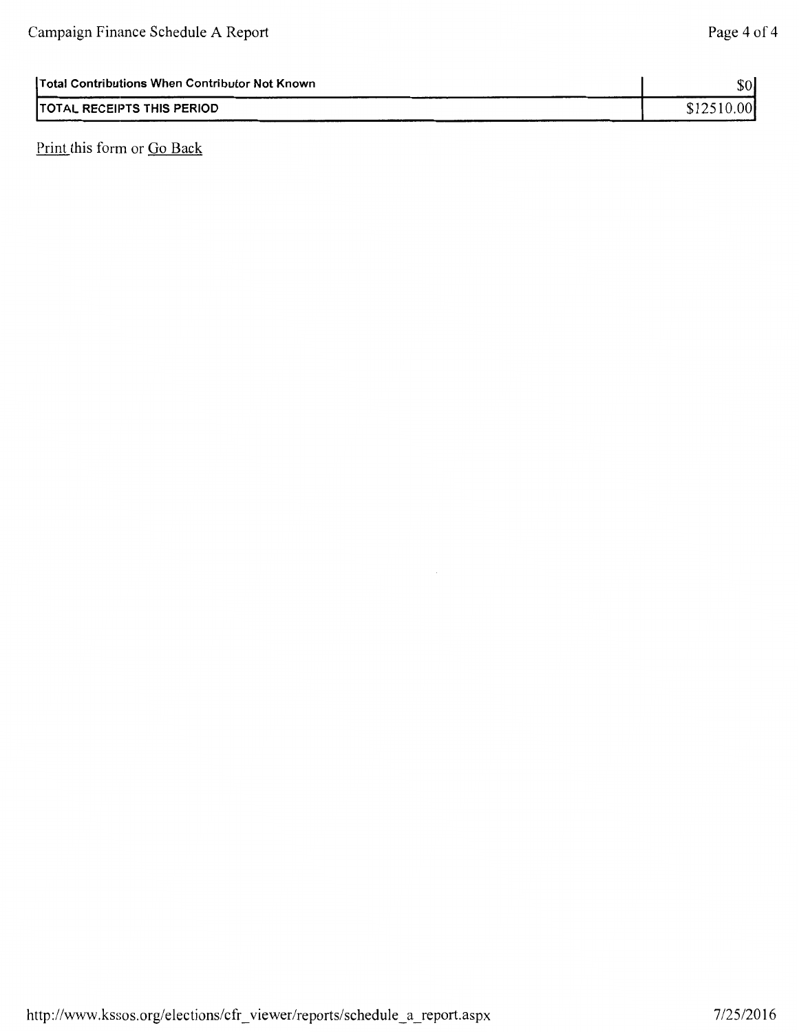| TOTAL RECEIPTS THIS PERIOD<br>-------- | 00 <sup>1</sup> |
|----------------------------------------|-----------------|
|                                        |                 |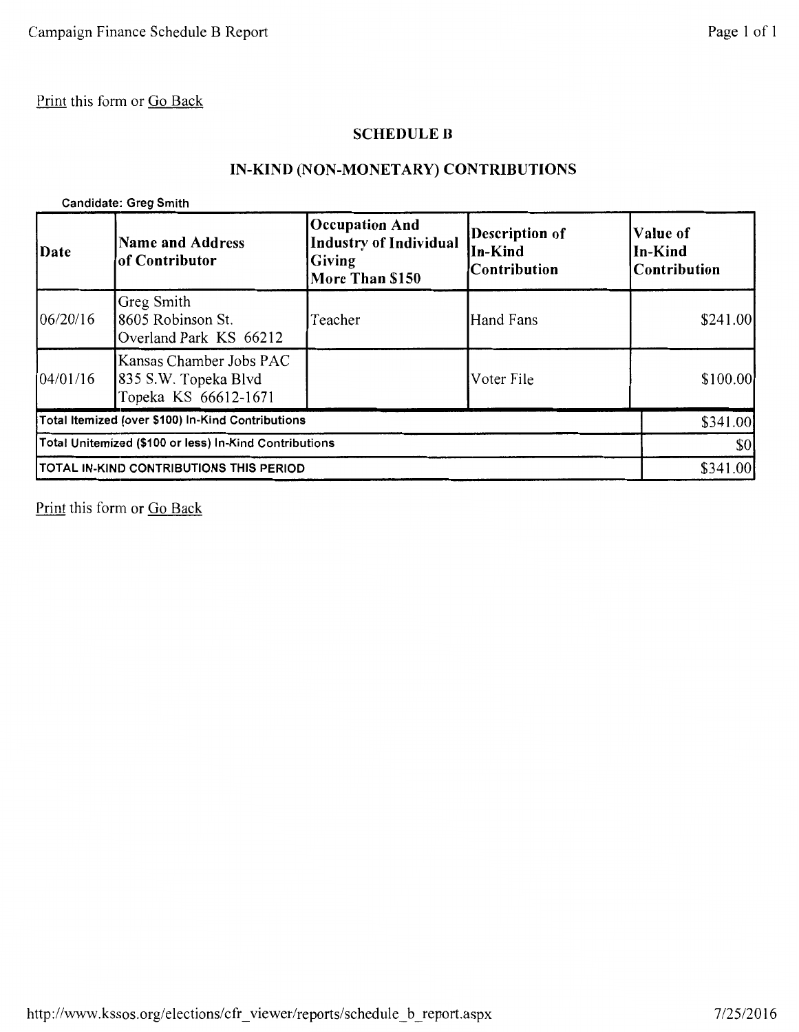### SCHEDULE B

## IN-KIND (NON-MONETARY) CONTRIBUTIONS

Candidate: Greg Smith

| Date       | <b>Name and Address</b><br>of Contributor                               | <b>Occupation And</b><br><b>Industry of Individual</b><br><b>Giving</b><br>More Than \$150 | Description of<br>In-Kind<br><b>Contribution</b> | Value of<br>In-Kind<br>Contribution |
|------------|-------------------------------------------------------------------------|--------------------------------------------------------------------------------------------|--------------------------------------------------|-------------------------------------|
| 106/20/16  | Greg Smith<br>18605 Robinson St.<br>Overland Park KS 66212              | Teacher                                                                                    | Hand Fans                                        | \$241.00                            |
| [04/01/16] | Kansas Chamber Jobs PAC<br>835 S.W. Topeka Blvd<br>Topeka KS 66612-1671 |                                                                                            | Voter File                                       | \$100.00]                           |
|            | Total Itemized (over \$100) In-Kind Contributions                       |                                                                                            |                                                  | \$341.00                            |
|            | Total Unitemized (\$100 or less) In-Kind Contributions                  |                                                                                            |                                                  | \$0                                 |
|            | TOTAL IN-KIND CONTRIBUTIONS THIS PERIOD                                 |                                                                                            |                                                  |                                     |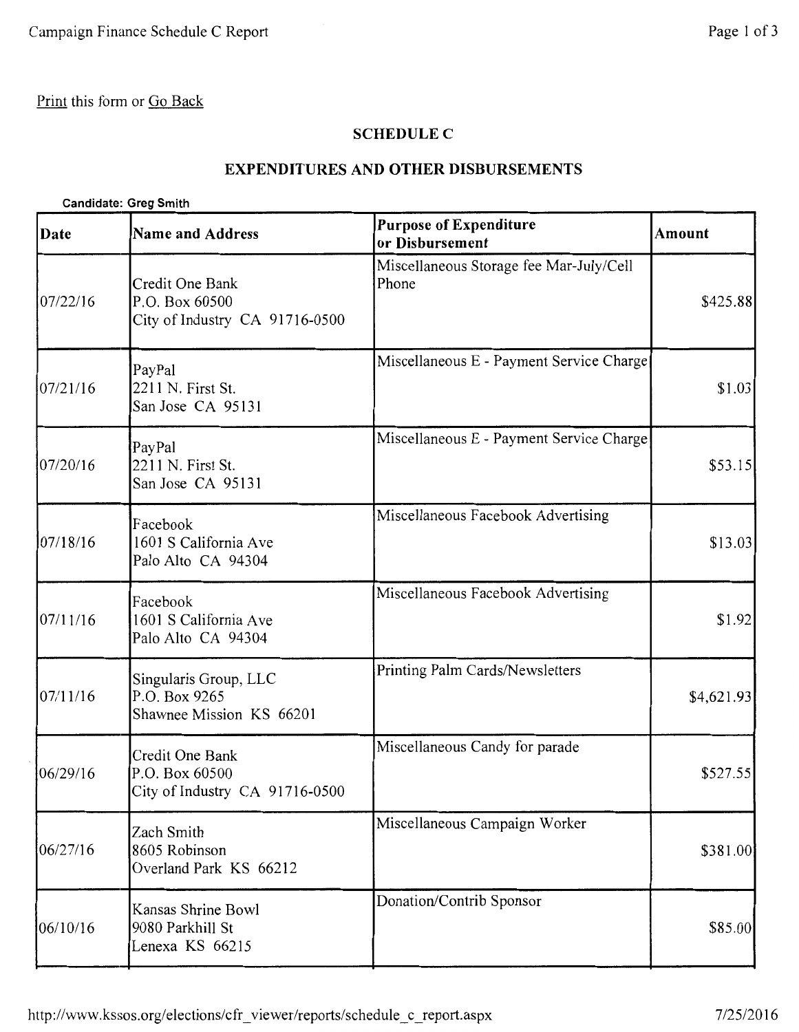## **SCHEDULE C**

### **EXPENDITURES AND OTHER DISBURSEMENTS**

### **Candidate: Greg Smith**

| Date     | <b>Name and Address</b>                                             | <b>Purpose of Expenditure</b><br>or Disbursement | Amount     |
|----------|---------------------------------------------------------------------|--------------------------------------------------|------------|
| 07/22/16 | Credit One Bank<br>P.O. Box 60500<br>City of Industry CA 91716-0500 | Miscellaneous Storage fee Mar-July/Cell<br>Phone | \$425.88   |
| 07/21/16 | PayPal<br>2211 N. First St.<br>San Jose CA 95131                    | Miscellaneous E - Payment Service Charge         | \$1.03     |
| 07/20/16 | PayPal<br>2211 N. First St.<br>San Jose CA 95131                    | Miscellaneous E - Payment Service Charge         | \$53.15    |
| 07/18/16 | Facebook<br>1601 S California Ave<br>Palo Alto CA 94304             | Miscellaneous Facebook Advertising               | \$13.03    |
| 07/11/16 | Facebook<br>1601 S California Ave<br>Palo Alto CA 94304             | Miscellaneous Facebook Advertising               | \$1.92     |
| 07/11/16 | Singularis Group, LLC<br>P.O. Box 9265<br>Shawnee Mission KS 66201  | Printing Palm Cards/Newsletters                  | \$4,621.93 |
| 06/29/16 | Credit One Bank<br>P.O. Box 60500<br>City of Industry CA 91716-0500 | Miscellaneous Candy for parade                   | \$527.55   |
| 06/27/16 | Zach Smith<br>8605 Robinson<br>Overland Park KS 66212               | Miscellaneous Campaign Worker                    | \$381.00   |
| 06/10/16 | Kansas Shrine Bowl<br>9080 Parkhill St<br>Lenexa KS 66215           | Donation/Contrib Sponsor                         | \$85.00    |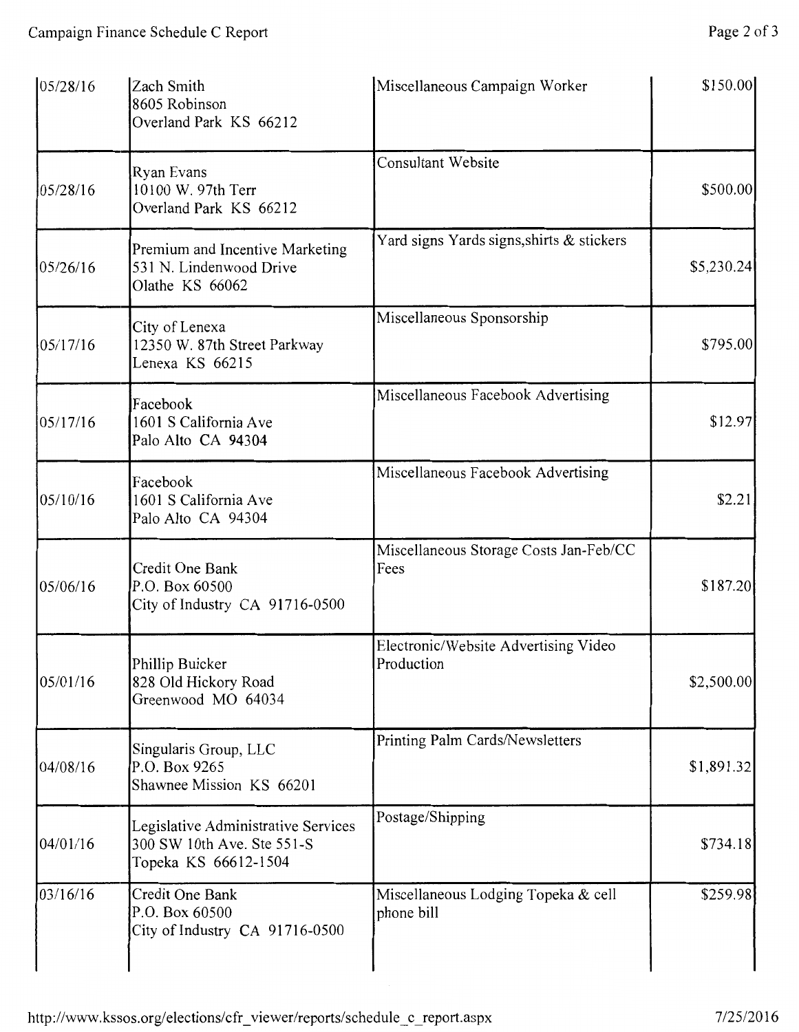| 05/28/16 | Zach Smith<br>8605 Robinson<br>Overland Park KS 66212                                     | Miscellaneous Campaign Worker                      | \$150.00   |
|----------|-------------------------------------------------------------------------------------------|----------------------------------------------------|------------|
| 05/28/16 | Ryan Evans<br>10100 W. 97th Terr<br>Overland Park KS 66212                                | <b>Consultant Website</b>                          | \$500.00   |
| 05/26/16 | Premium and Incentive Marketing<br>531 N. Lindenwood Drive<br>Olathe KS 66062             | Yard signs Yards signs, shirts & stickers          | \$5,230.24 |
| 05/17/16 | City of Lenexa<br>12350 W. 87th Street Parkway<br>Lenexa KS 66215                         | Miscellaneous Sponsorship                          | \$795.00   |
| 05/17/16 | Facebook<br>1601 S California Ave<br>Palo Alto CA 94304                                   | Miscellaneous Facebook Advertising                 | \$12.97    |
| 05/10/16 | Facebook<br>1601 S California Ave<br>Palo Alto CA 94304                                   | Miscellaneous Facebook Advertising                 | \$2.21     |
| 05/06/16 | Credit One Bank<br>P.O. Box 60500<br>City of Industry CA 91716-0500                       | Miscellaneous Storage Costs Jan-Feb/CC<br>Fees     | \$187.20   |
| 05/01/16 | Phillip Buicker<br>828 Old Hickory Road<br>Greenwood MO 64034                             | Electronic/Website Advertising Video<br>Production | \$2,500.00 |
| 04/08/16 | Singularis Group, LLC<br>P.O. Box 9265<br>Shawnee Mission KS 66201                        | Printing Palm Cards/Newsletters                    | \$1,891.32 |
| 04/01/16 | Legislative Administrative Services<br>300 SW 10th Ave. Ste 551-S<br>Topeka KS 66612-1504 | Postage/Shipping                                   | \$734.18   |
| 03/16/16 | Credit One Bank<br>P.O. Box 60500<br>City of Industry CA 91716-0500                       | Miscellaneous Lodging Topeka & cell<br>phone bill  | \$259.98   |